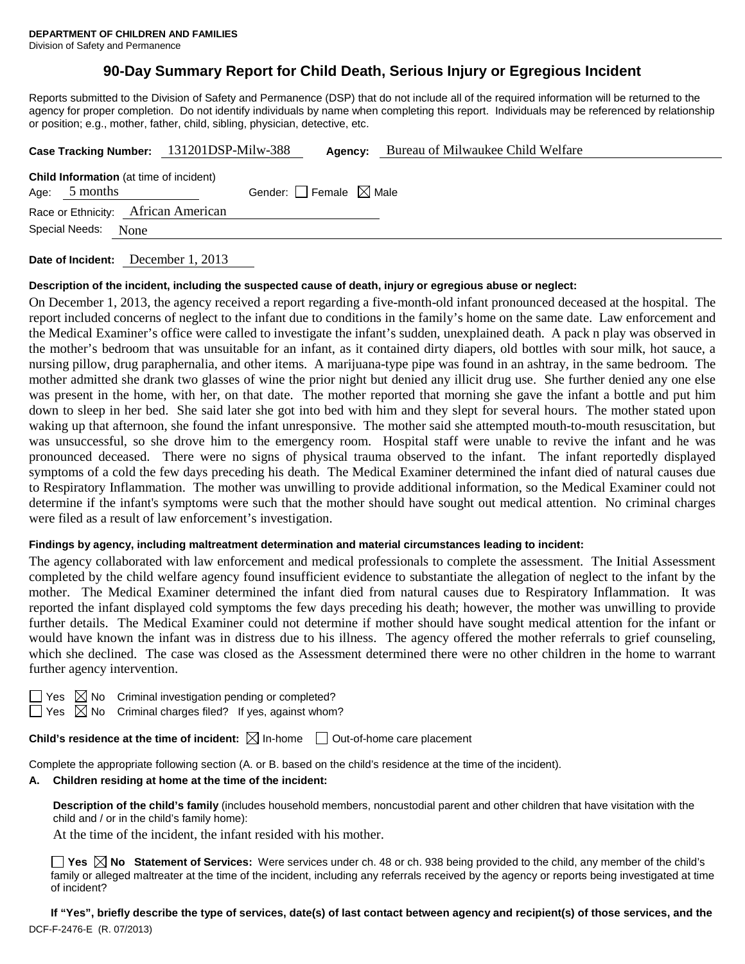Division of Safety and Permanence

## **90-Day Summary Report for Child Death, Serious Injury or Egregious Incident**

Reports submitted to the Division of Safety and Permanence (DSP) that do not include all of the required information will be returned to the agency for proper completion. Do not identify individuals by name when completing this report. Individuals may be referenced by relationship or position; e.g., mother, father, child, sibling, physician, detective, etc.

|                     |                                                                   | Case Tracking Number: 131201DSP-Milw-388 | Agency:                         | Bureau of Milwaukee Child Welfare |  |  |
|---------------------|-------------------------------------------------------------------|------------------------------------------|---------------------------------|-----------------------------------|--|--|
|                     | <b>Child Information</b> (at time of incident)<br>Age: $5$ months |                                          | Gender: Female $\boxtimes$ Male |                                   |  |  |
|                     |                                                                   | Race or Ethnicity: African American      |                                 |                                   |  |  |
| Special Needs: None |                                                                   |                                          |                                 |                                   |  |  |
|                     |                                                                   |                                          |                                 |                                   |  |  |

**Date of Incident:** December 1, 2013

### **Description of the incident, including the suspected cause of death, injury or egregious abuse or neglect:**

On December 1, 2013, the agency received a report regarding a five-month-old infant pronounced deceased at the hospital. The report included concerns of neglect to the infant due to conditions in the family's home on the same date. Law enforcement and the Medical Examiner's office were called to investigate the infant's sudden, unexplained death. A pack n play was observed in the mother's bedroom that was unsuitable for an infant, as it contained dirty diapers, old bottles with sour milk, hot sauce, a nursing pillow, drug paraphernalia, and other items. A marijuana-type pipe was found in an ashtray, in the same bedroom. The mother admitted she drank two glasses of wine the prior night but denied any illicit drug use. She further denied any one else was present in the home, with her, on that date. The mother reported that morning she gave the infant a bottle and put him down to sleep in her bed. She said later she got into bed with him and they slept for several hours. The mother stated upon waking up that afternoon, she found the infant unresponsive. The mother said she attempted mouth-to-mouth resuscitation, but was unsuccessful, so she drove him to the emergency room. Hospital staff were unable to revive the infant and he was pronounced deceased. There were no signs of physical trauma observed to the infant. The infant reportedly displayed symptoms of a cold the few days preceding his death. The Medical Examiner determined the infant died of natural causes due to Respiratory Inflammation. The mother was unwilling to provide additional information, so the Medical Examiner could not determine if the infant's symptoms were such that the mother should have sought out medical attention. No criminal charges were filed as a result of law enforcement's investigation.

### **Findings by agency, including maltreatment determination and material circumstances leading to incident:**

The agency collaborated with law enforcement and medical professionals to complete the assessment. The Initial Assessment completed by the child welfare agency found insufficient evidence to substantiate the allegation of neglect to the infant by the mother. The Medical Examiner determined the infant died from natural causes due to Respiratory Inflammation. It was reported the infant displayed cold symptoms the few days preceding his death; however, the mother was unwilling to provide further details. The Medical Examiner could not determine if mother should have sought medical attention for the infant or would have known the infant was in distress due to his illness. The agency offered the mother referrals to grief counseling, which she declined. The case was closed as the Assessment determined there were no other children in the home to warrant further agency intervention.

 $\boxtimes$  No Criminal investigation pending or completed?

Yes  $\boxtimes$  No Criminal charges filed? If yes, against whom?

**Child's residence at the time of incident:**  $\boxtimes$  In-home  $\Box$  Out-of-home care placement

Complete the appropriate following section (A. or B. based on the child's residence at the time of the incident).

### **A. Children residing at home at the time of the incident:**

**Description of the child's family** (includes household members, noncustodial parent and other children that have visitation with the child and / or in the child's family home):

At the time of the incident, the infant resided with his mother.

■ Yes **No** Statement of Services: Were services under ch. 48 or ch. 938 being provided to the child, any member of the child's family or alleged maltreater at the time of the incident, including any referrals received by the agency or reports being investigated at time of incident?

DCF-F-2476-E (R. 07/2013) **If "Yes", briefly describe the type of services, date(s) of last contact between agency and recipient(s) of those services, and the**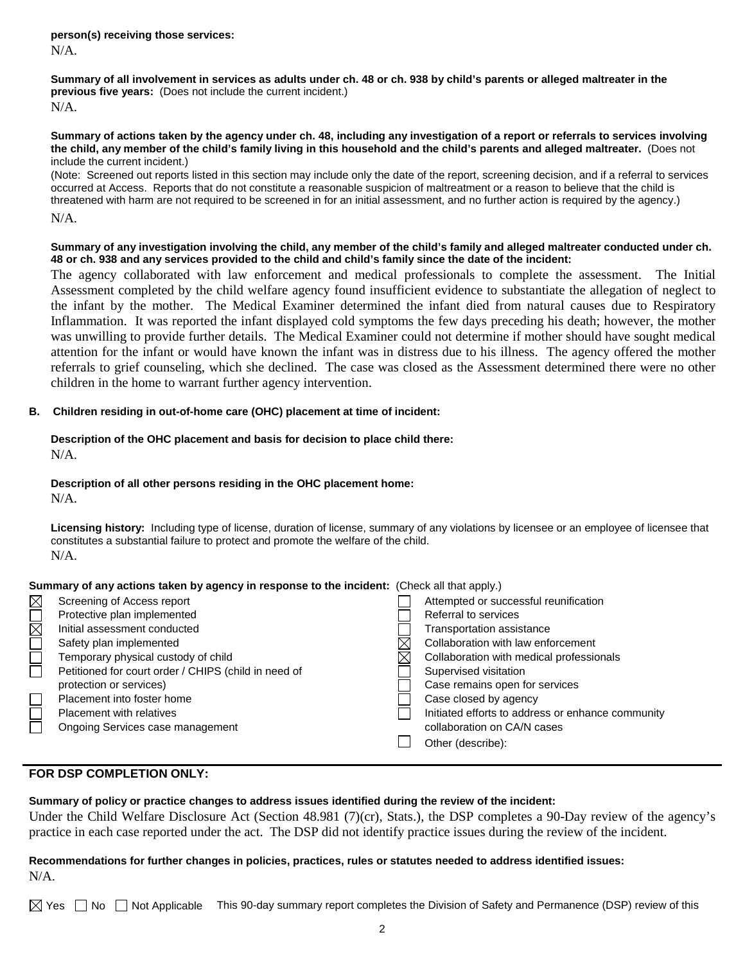**Summary of all involvement in services as adults under ch. 48 or ch. 938 by child's parents or alleged maltreater in the previous five years:** (Does not include the current incident.) N/A.

### **Summary of actions taken by the agency under ch. 48, including any investigation of a report or referrals to services involving the child, any member of the child's family living in this household and the child's parents and alleged maltreater.** (Does not include the current incident.)

(Note: Screened out reports listed in this section may include only the date of the report, screening decision, and if a referral to services occurred at Access. Reports that do not constitute a reasonable suspicion of maltreatment or a reason to believe that the child is threatened with harm are not required to be screened in for an initial assessment, and no further action is required by the agency.) N/A.

**Summary of any investigation involving the child, any member of the child's family and alleged maltreater conducted under ch. 48 or ch. 938 and any services provided to the child and child's family since the date of the incident:**

The agency collaborated with law enforcement and medical professionals to complete the assessment. The Initial Assessment completed by the child welfare agency found insufficient evidence to substantiate the allegation of neglect to the infant by the mother. The Medical Examiner determined the infant died from natural causes due to Respiratory Inflammation. It was reported the infant displayed cold symptoms the few days preceding his death; however, the mother was unwilling to provide further details. The Medical Examiner could not determine if mother should have sought medical attention for the infant or would have known the infant was in distress due to his illness. The agency offered the mother referrals to grief counseling, which she declined. The case was closed as the Assessment determined there were no other children in the home to warrant further agency intervention.

### **B. Children residing in out-of-home care (OHC) placement at time of incident:**

# **Description of the OHC placement and basis for decision to place child there:**

N/A.

## **Description of all other persons residing in the OHC placement home:**

 $N/A$ .

**Licensing history:** Including type of license, duration of license, summary of any violations by licensee or an employee of licensee that constitutes a substantial failure to protect and promote the welfare of the child. N/A.

| Summary of any actions taken by agency in response to the incident: (Check all that apply.) |                                                      |  |                                                   |  |  |
|---------------------------------------------------------------------------------------------|------------------------------------------------------|--|---------------------------------------------------|--|--|
| $\boxtimes$                                                                                 | Screening of Access report                           |  | Attempted or successful reunification             |  |  |
|                                                                                             | Protective plan implemented                          |  | Referral to services                              |  |  |
| $\Box$ $\Box$                                                                               | Initial assessment conducted                         |  | Transportation assistance                         |  |  |
|                                                                                             | Safety plan implemented                              |  | Collaboration with law enforcement                |  |  |
|                                                                                             | Temporary physical custody of child                  |  | Collaboration with medical professionals          |  |  |
|                                                                                             | Petitioned for court order / CHIPS (child in need of |  | Supervised visitation                             |  |  |
|                                                                                             | protection or services)                              |  | Case remains open for services                    |  |  |
|                                                                                             | Placement into foster home                           |  | Case closed by agency                             |  |  |
|                                                                                             | Placement with relatives                             |  | Initiated efforts to address or enhance community |  |  |
|                                                                                             | Ongoing Services case management                     |  | collaboration on CA/N cases                       |  |  |
|                                                                                             |                                                      |  | Other (describe):                                 |  |  |
|                                                                                             |                                                      |  |                                                   |  |  |

## **FOR DSP COMPLETION ONLY:**

**Summary of policy or practice changes to address issues identified during the review of the incident:** Under the Child Welfare Disclosure Act (Section 48.981 (7)(cr), Stats.), the DSP completes a 90-Day review of the agency's practice in each case reported under the act. The DSP did not identify practice issues during the review of the incident.

### **Recommendations for further changes in policies, practices, rules or statutes needed to address identified issues:** N/A.

 $\boxtimes$  Yes  $\Box$  No  $\Box$  Not Applicable This 90-day summary report completes the Division of Safety and Permanence (DSP) review of this